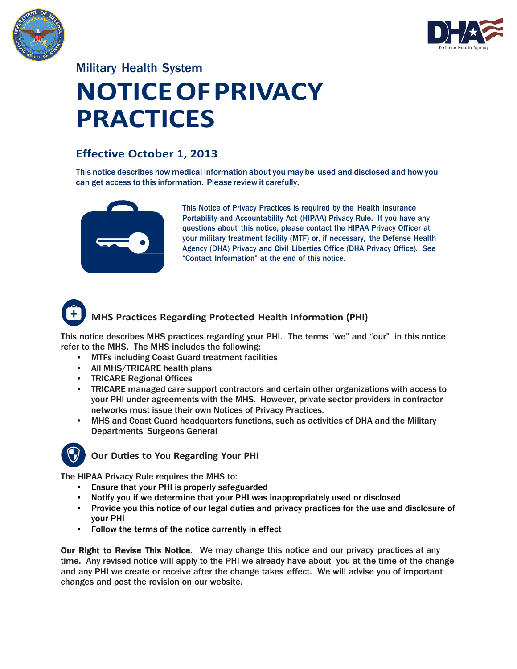



## Military Health System **NOTICE OF PRIVACY PRACTICES**

### **Effective October 1, 2013**

This notice describes how medical information about you may be used and disclosed and how you can get access to this information. Please review it carefully.



This Notice of Privacy Practices is required by the Health Insurance Portability and Accountability Act (HIPAA) Privacy Rule. If you have any questions about this notice, please contact the HIPAA Privacy Officer at your military treatment facility (MTF) or, if necessary, the Defense Health Agency (DHA) Privacy and Civil Liberties Office (DHA Privacy Office). See "Contact Information" at the end of this notice.

# **MHS Practices Regarding Protected Health Information (PHI)**

This notice describes MHS practices regarding your PHI. The terms "we" and "our" in this notice refer to the MHS. The MHS includes the following:

- MTFs including Coast Guard treatment facilities
- All MHS/TRICARE health plans
- TRICARE Regional Offices
- TRICARE managed care support contractors and certain other organizations with access to your PHI under agreements with the MHS. However, private sector providers in contractor networks must issue their own Notices of Privacy Practices.
- MHS and Coast Guard headquarters functions, such as activities of DHA and the Military Departments' Surgeons General



### **Our Duties to You Regarding Your PHI**

The HIPAA Privacy Rule requires the MHS to:

- Ensure that your PHI is properly safeguarded
- Notify you if we determine that your PHI was inappropriately used or disclosed
- Provide you this notice of our legal duties and privacy practices for the use and disclosure of your PHI
- Follow the terms of the notice currently in effect

Our Right to Revise This Notice. We may change this notice and our privacy practices at any time. Any revised notice will apply to the PHI we already have about you at the time of the change and any PHI we create or receive after the change takes effect. We will advise you of important changes and post the revision on our website.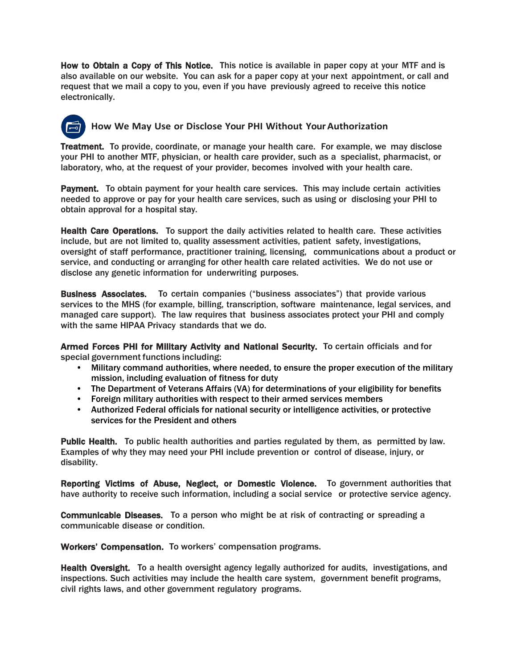How to Obtain a Copy of This Notice. This notice is available in paper copy at your MTF and is also available on our website. You can ask for a paper copy at your next appointment, or call and request that we mail a copy to you, even if you have previously agreed to receive this notice electronically.

### **How We May Use or Disclose Your PHI Without YourAuthorization**

Treatment. To provide, coordinate, or manage your health care. For example, we may disclose your PHI to another MTF, physician, or health care provider, such as a specialist, pharmacist, or laboratory, who, at the request of your provider, becomes involved with your health care.

Payment. To obtain payment for your health care services. This may include certain activities needed to approve or pay for your health care services, such as using or disclosing your PHI to obtain approval for a hospital stay.

Health Care Operations. To support the daily activities related to health care. These activities include, but are not limited to, quality assessment activities, patient safety, investigations, oversight of staff performance, practitioner training, licensing, communications about a product or service, and conducting or arranging for other health care related activities. We do not use or disclose any genetic information for underwriting purposes.

Business Associates. To certain companies ("business associates") that provide various services to the MHS (for example, billing, transcription, software maintenance, legal services, and managed care support). The law requires that business associates protect your PHI and comply with the same HIPAA Privacy standards that we do.

Armed Forces PHI for Military Activity and National Security. To certain officials and for special government functions including:

- Military command authorities, where needed, to ensure the proper execution of the military mission, including evaluation of fitness for duty
- The Department of Veterans Affairs (VA) for determinations of your eligibility for benefits
- Foreign military authorities with respect to their armed services members
- Authorized Federal officials for national security or intelligence activities, or protective services for the President and others

Public Health. To public health authorities and parties regulated by them, as permitted by law. Examples of why they may need your PHI include prevention or control of disease, injury, or disability.

Reporting Victims of Abuse, Neglect, or Domestic Violence. To government authorities that have authority to receive such information, including a social service or protective service agency.

Communicable Diseases. To a person who might be at risk of contracting or spreading a communicable disease or condition.

Workers' Compensation. To workers' compensation programs.

Health Oversight. To a health oversight agency legally authorized for audits, investigations, and inspections. Such activities may include the health care system, government benefit programs, civil rights laws, and other government regulatory programs.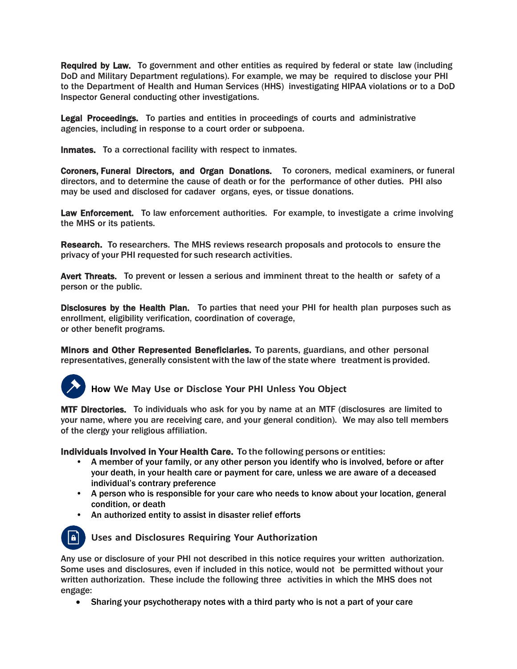Required by Law. To government and other entities as required by federal or state law (including DoD and Military Department regulations). For example, we may be required to disclose your PHI to the Department of Health and Human Services (HHS) investigating HIPAA violations or to a DoD Inspector General conducting other investigations.

Legal Proceedings. To parties and entities in proceedings of courts and administrative agencies, including in response to a court order or subpoena.

Inmates. To a correctional facility with respect to inmates.

Coroners, Funeral Directors, and Organ Donations. To coroners, medical examiners, or funeral directors, and to determine the cause of death or for the performance of other duties. PHI also may be used and disclosed for cadaver organs, eyes, or tissue donations.

Law Enforcement. To law enforcement authorities. For example, to investigate a crime involving the MHS or its patients.

Research. To researchers. The MHS reviews research proposals and protocols to ensure the privacy of your PHI requested for such research activities.

Avert Threats. To prevent or lessen a serious and imminent threat to the health or safety of a person or the public.

Disclosures by the Health Plan. To parties that need your PHI for health plan purposes such as enrollment, eligibility verification, coordination of coverage, or other benefit programs.

Minors and Other Represented Beneficiaries. To parents, guardians, and other personal representatives, generally consistent with the law of the state where treatment is provided.



**How We May Use or Disclose Your PHI Unless You Object**

MTF Directories. To individuals who ask for you by name at an MTF (disclosures are limited to your name, where you are receiving care, and your general condition). We may also tell members of the clergy your religious affiliation.

Individuals Involved in Your Health Care. To the following persons or entities:

- A member of your family, or any other person you identify who is involved, before or after your death, in your health care or payment for care, unless we are aware of a deceased individual's contrary preference
- A person who is responsible for your care who needs to know about your location, general condition, or death
- An authorized entity to assist in disaster relief efforts



**Uses and Disclosures Requiring Your Authorization**

Any use or disclosure of your PHI not described in this notice requires your written authorization. Some uses and disclosures, even if included in this notice, would not be permitted without your written authorization. These include the following three activities in which the MHS does not engage:

Sharing your psychotherapy notes with a third party who is not a part of your care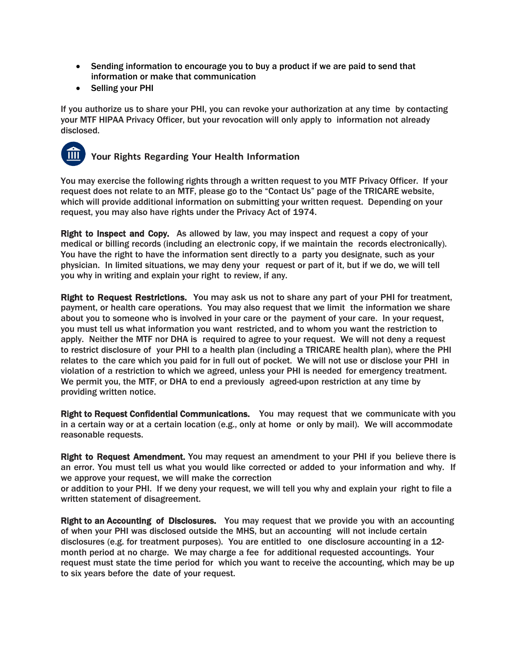- Sending information to encourage you to buy a product if we are paid to send that information or make that communication
- Selling your PHI

If you authorize us to share your PHI, you can revoke your authorization at any time by contacting your MTF HIPAA Privacy Officer, but your revocation will only apply to information not already disclosed.



### **Your Rights Regarding Your Health Information**

You may exercise the following rights through a written request to you MTF Privacy Officer. If your request does not relate to an MTF, please go to the "Contact Us" page of the TRICARE website, which will provide additional information on submitting your written request. Depending on your request, you may also have rights under the Privacy Act of 1974.

Right to Inspect and Copy. As allowed by law, you may inspect and request a copy of your medical or billing records (including an electronic copy, if we maintain the records electronically). You have the right to have the information sent directly to a party you designate, such as your physician. In limited situations, we may deny your request or part of it, but if we do, we will tell you why in writing and explain your right to review, if any.

Right to Request Restrictions. You may ask us not to share any part of your PHI for treatment, payment, or health care operations. You may also request that we limit the information we share about you to someone who is involved in your care or the payment of your care. In your request, you must tell us what information you want restricted, and to whom you want the restriction to apply. Neither the MTF nor DHA is required to agree to your request. We will not deny a request to restrict disclosure of your PHI to a health plan (including a TRICARE health plan), where the PHI relates to the care which you paid for in full out of pocket. We will not use or disclose your PHI in violation of a restriction to which we agreed, unless your PHI is needed for emergency treatment. We permit you, the MTF, or DHA to end a previously agreed-upon restriction at any time by providing written notice.

Right to Request Confidential Communications. You may request that we communicate with you in a certain way or at a certain location (e.g., only at home or only by mail). We will accommodate reasonable requests.

Right to Request Amendment. You may request an amendment to your PHI if you believe there is an error. You must tell us what you would like corrected or added to your information and why. If we approve your request, we will make the correction

or addition to your PHI. If we deny your request, we will tell you why and explain your right to file a written statement of disagreement.

Right to an Accounting of Disclosures. You may request that we provide you with an accounting of when your PHI was disclosed outside the MHS, but an accounting will not include certain disclosures (e.g. for treatment purposes). You are entitled to one disclosure accounting in a 12 month period at no charge. We may charge a fee for additional requested accountings. Your request must state the time period for which you want to receive the accounting, which may be up to six years before the date of your request.